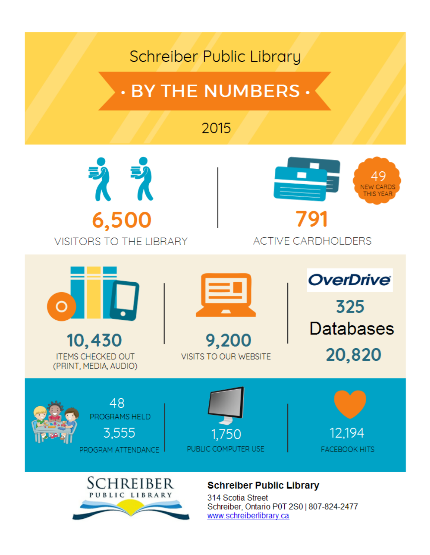## **Schreiber Public Library**

# **· BY THE NUMBERS ·**

## 2015







**ITEMS CHECKED OUT** (PRINT, MEDIA, AUDIO)



9,200 **VISITS TO OUR WEBSITE**  **OverDrive** 325 **Databases** 20,820









### **Schreiber Public Library**

314 Scotia Street Schreiber, Ontario P0T 2S0 | 807-824-2477 www.schreiberlibrary.ca